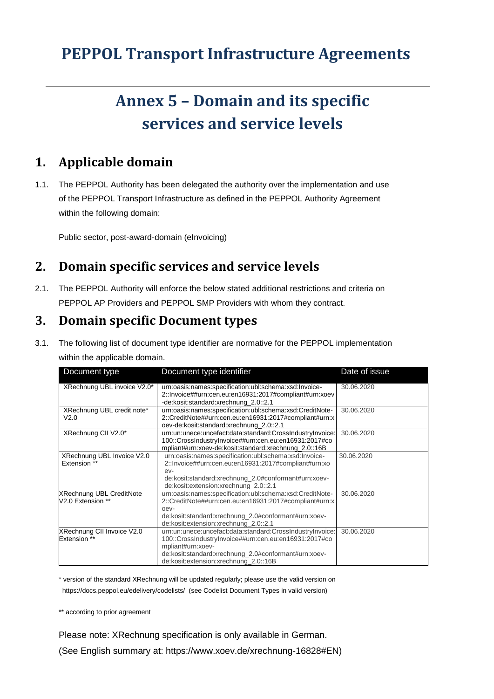## **PEPPOL Transport Infrastructure Agreements**

# **Annex 5 – Domain and its specific services and service levels**

### **1. Applicable domain**

1.1. The PEPPOL Authority has been delegated the authority over the implementation and use of the PEPPOL Transport Infrastructure as defined in the PEPPOL Authority Agreement within the following domain:

Public sector, post-award-domain (eInvoicing)

## **2. Domain specific services and service levels**

2.1. The PEPPOL Authority will enforce the below stated additional restrictions and criteria on PEPPOL AP Providers and PEPPOL SMP Providers with whom they contract.

#### **3. Domain specific Document types**

3.1. The following list of document type identifier are normative for the PEPPOL implementation within the applicable domain.

| Document type                                        | Document type identifier                                                                                                                                                                                                                 | Date of issue |
|------------------------------------------------------|------------------------------------------------------------------------------------------------------------------------------------------------------------------------------------------------------------------------------------------|---------------|
| XRechnung UBL invoice V2.0*                          | urn:oasis:names:specification:ubl:schema:xsd:Invoice-<br>2:: Invoice##urn:cen.eu:en16931:2017#compliant#urn:xoev<br>-de:kosit:standard:xrechnung_2.0::2.1                                                                                | 30.06.2020    |
| XRechnung UBL credit note*<br>V <sub>2.0</sub>       | urn:oasis:names:specification:ubl:schema:xsd:CreditNote-<br>2::CreditNote##urn:cen.eu:en16931:2017#compliant#urn:x<br>oev-de:kosit:standard:xrechnung_2.0::2.1                                                                           | 30.06.2020    |
| XRechnung CII V2.0*                                  | urn:un:unece:uncefact:data:standard:CrossIndustryInvoice:<br>100::CrossIndustryInvoice##urn:cen.eu:en16931:2017#co<br>mpliant#urn:xoev-de:kosit:standard:xrechnung_2.0::16B                                                              | 30.06.2020    |
| XRechnung UBL Invoice V2.0<br>Extension **           | urn:oasis:names:specification:ubl:schema:xsd:Invoice-<br>2:: Invoice##urn:cen.eu:en16931:2017#compliant#urn:xo<br>$ev-$<br>de:kosit:standard:xrechnung_2.0#conformant#urn:xoev-<br>de:kosit:extension:xrechnung_2.0::2.1                 | 30.06.2020    |
| <b>XRechnung UBL CreditNote</b><br>V2.0 Extension ** | urn:oasis:names:specification:ubl:schema:xsd:CreditNote-<br>2::CreditNote##urn:cen.eu:en16931:2017#compliant#urn:x<br>oev-<br>de:kosit:standard:xrechnung_2.0#conformant#urn:xoev-<br>de:kosit:extension:xrechnung_2.0::2.1              | 30.06.2020    |
| XRechnung CII Invoice V2.0<br><b>Extension</b> **    | urn:un:unece:uncefact:data:standard:CrossIndustryInvoice:<br>100::CrossIndustryInvoice##urn:cen.eu:en16931:2017#co<br>mpliant#urn:xoev-<br>de:kosit:standard:xrechnung_2.0#conformant#urn:xoev-<br>de:kosit:extension:xrechnung 2.0::16B | 30.06.2020    |

\* version of the standard XRechnung will be updated regularly; please use the valid version on https://docs.peppol.eu/edelivery/codelists/ (see Codelist Document Types in valid version)

\*\* according to prior agreement

Please note: XRechnung specification is only available in German.

(See English summary at: https://www.xoev.de/xrechnung-16828#EN)